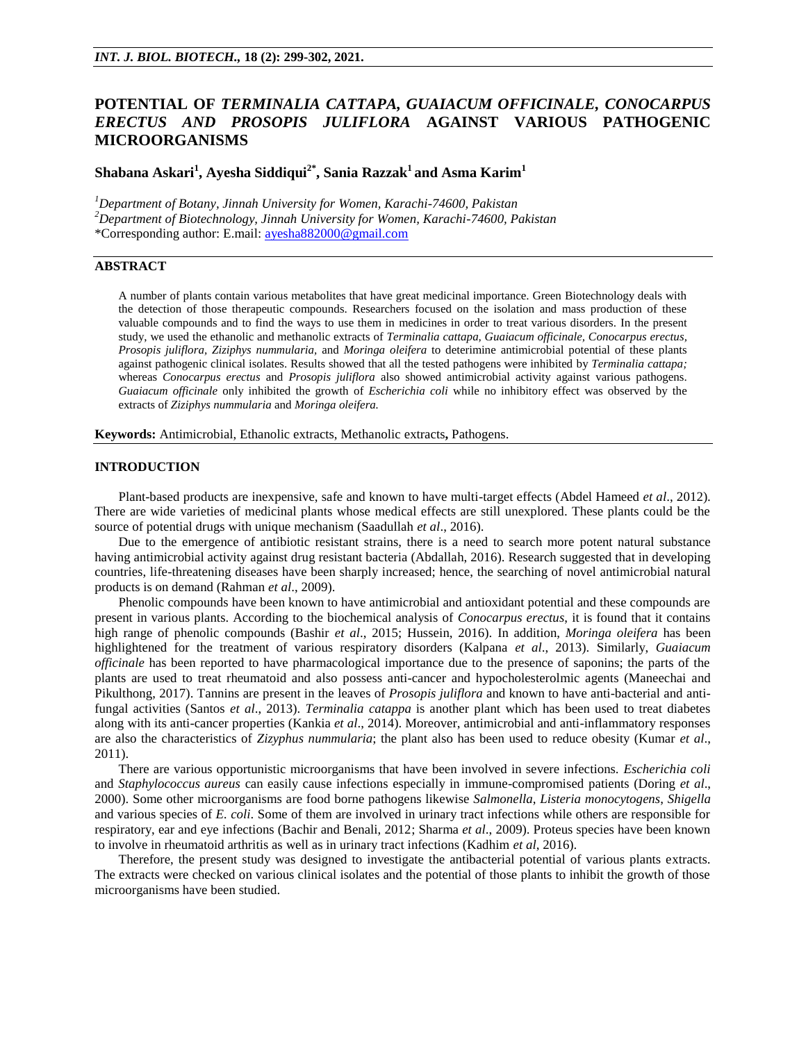# **POTENTIAL OF** *TERMINALIA CATTAPA, GUAIACUM OFFICINALE, CONOCARPUS ERECTUS AND PROSOPIS JULIFLORA* **AGAINST VARIOUS PATHOGENIC MICROORGANISMS**

**Shabana Askari<sup>1</sup> , Ayesha Siddiqui2\*, Sania Razzak<sup>1</sup> and Asma Karim<sup>1</sup>**

*<sup>1</sup>Department of Botany, Jinnah University for Women, Karachi-74600, Pakistan <sup>2</sup>Department of Biotechnology, Jinnah University for Women, Karachi-74600, Pakistan* \*Corresponding author: E.mail: [ayesha882000@gmail.com](mailto:ayesha882000@gmail.com)

## **ABSTRACT**

A number of plants contain various metabolites that have great medicinal importance. Green Biotechnology deals with the detection of those therapeutic compounds. Researchers focused on the isolation and mass production of these valuable compounds and to find the ways to use them in medicines in order to treat various disorders. In the present study, we used the ethanolic and methanolic extracts of *Terminalia cattapa, Guaiacum officinale, Conocarpus erectus, Prosopis juliflora, Ziziphys nummularia,* and *Moringa oleifera* to deterimine antimicrobial potential of these plants against pathogenic clinical isolates. Results showed that all the tested pathogens were inhibited by *Terminalia cattapa;*  whereas *Conocarpus erectus* and *Prosopis juliflora* also showed antimicrobial activity against various pathogens. *Guaiacum officinale* only inhibited the growth of *Escherichia coli* while no inhibitory effect was observed by the extracts of *Ziziphys nummularia* and *Moringa oleifera.*

**Keywords:** Antimicrobial, Ethanolic extracts, Methanolic extracts**,** Pathogens.

#### **INTRODUCTION**

Plant-based products are inexpensive, safe and known to have multi-target effects (Abdel Hameed *et al*., 2012). There are wide varieties of medicinal plants whose medical effects are still unexplored. These plants could be the source of potential drugs with unique mechanism (Saadullah *et al*., 2016).

Due to the emergence of antibiotic resistant strains, there is a need to search more potent natural substance having antimicrobial activity against drug resistant bacteria (Abdallah, 2016). Research suggested that in developing countries, life-threatening diseases have been sharply increased; hence, the searching of novel antimicrobial natural products is on demand (Rahman *et al*., 2009).

Phenolic compounds have been known to have antimicrobial and antioxidant potential and these compounds are present in various plants. According to the biochemical analysis of *Conocarpus erectus*, it is found that it contains high range of phenolic compounds (Bashir *et al*., 2015; Hussein, 2016). In addition, *Moringa oleifera* has been highlightened for the treatment of various respiratory disorders (Kalpana *et al*., 2013). Similarly, *Guaiacum officinale* has been reported to have pharmacological importance due to the presence of saponins; the parts of the plants are used to treat rheumatoid and also possess anti-cancer and hypocholesterolmic agents (Maneechai and Pikulthong, 2017). Tannins are present in the leaves of *Prosopis juliflora* and known to have anti-bacterial and antifungal activities (Santos *et al*., 2013). *Terminalia catappa* is another plant which has been used to treat diabetes along with its anti-cancer properties (Kankia *et al*., 2014). Moreover, antimicrobial and anti-inflammatory responses are also the characteristics of *Zizyphus nummularia*; the plant also has been used to reduce obesity (Kumar *et al*., 2011).

There are various opportunistic microorganisms that have been involved in severe infections. *Escherichia coli* and *Staphylococcus aureus* can easily cause infections especially in immune-compromised patients (Doring *et al*., 2000). Some other microorganisms are food borne pathogens likewise *Salmonella*, *Listeria monocytogens*, *Shigella* and various species of *E. coli*. Some of them are involved in urinary tract infections while others are responsible for respiratory, ear and eye infections (Bachir and Benali, 2012; Sharma *et al*., 2009). Proteus species have been known to involve in rheumatoid arthritis as well as in urinary tract infections (Kadhim *et al*, 2016).

Therefore, the present study was designed to investigate the antibacterial potential of various plants extracts. The extracts were checked on various clinical isolates and the potential of those plants to inhibit the growth of those microorganisms have been studied.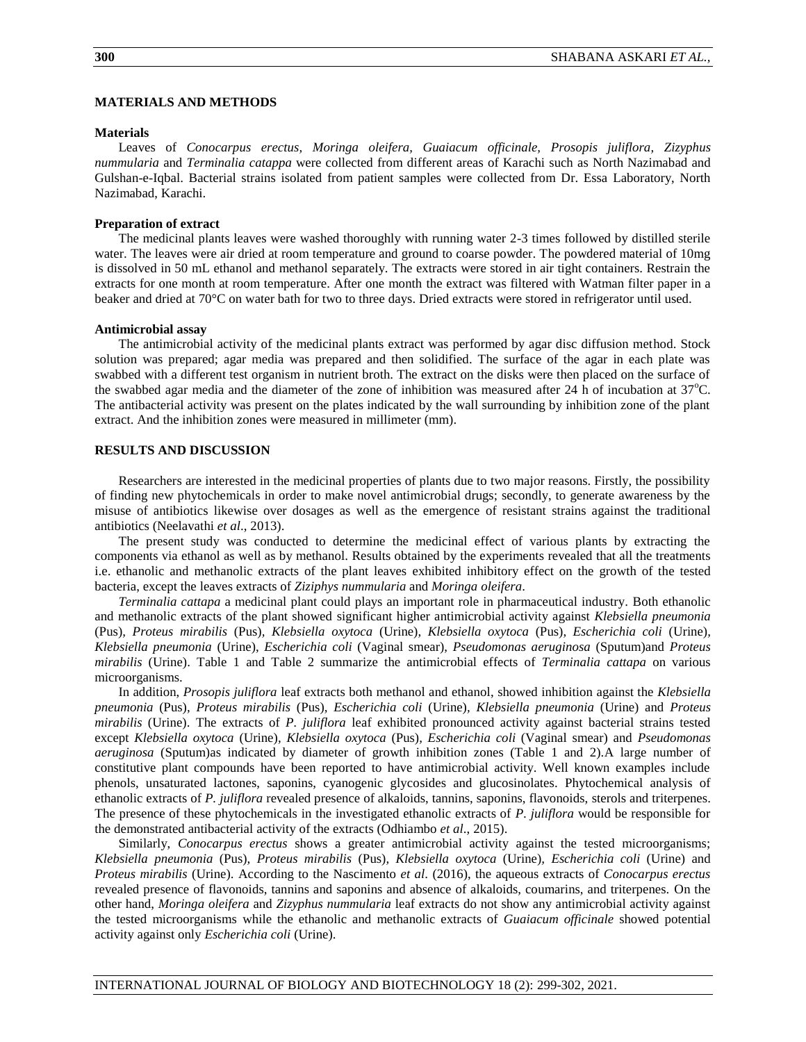# **MATERIALS AND METHODS**

#### **Materials**

Leaves of *Conocarpus erectus, Moringa oleifera, Guaiacum officinale, Prosopis juliflora, Zizyphus nummularia* and *Terminalia catappa* were collected from different areas of Karachi such as North Nazimabad and Gulshan-e-Iqbal. Bacterial strains isolated from patient samples were collected from Dr. Essa Laboratory, North Nazimabad, Karachi.

## **Preparation of extract**

The medicinal plants leaves were washed thoroughly with running water 2-3 times followed by distilled sterile water. The leaves were air dried at room temperature and ground to coarse powder. The powdered material of 10mg is dissolved in 50 mL ethanol and methanol separately. The extracts were stored in air tight containers. Restrain the extracts for one month at room temperature. After one month the extract was filtered with Watman filter paper in a beaker and dried at 70°C on water bath for two to three days. Dried extracts were stored in refrigerator until used.

#### **Antimicrobial assay**

The antimicrobial activity of the medicinal plants extract was performed by agar disc diffusion method. Stock solution was prepared; agar media was prepared and then solidified. The surface of the agar in each plate was swabbed with a different test organism in nutrient broth. The extract on the disks were then placed on the surface of the swabbed agar media and the diameter of the zone of inhibition was measured after 24 h of incubation at  $37^{\circ}$ C. The antibacterial activity was present on the plates indicated by the wall surrounding by inhibition zone of the plant extract. And the inhibition zones were measured in millimeter (mm).

#### **RESULTS AND DISCUSSION**

Researchers are interested in the medicinal properties of plants due to two major reasons. Firstly, the possibility of finding new phytochemicals in order to make novel antimicrobial drugs; secondly, to generate awareness by the misuse of antibiotics likewise over dosages as well as the emergence of resistant strains against the traditional antibiotics (Neelavathi *et al*., 2013).

The present study was conducted to determine the medicinal effect of various plants by extracting the components via ethanol as well as by methanol. Results obtained by the experiments revealed that all the treatments i.e. ethanolic and methanolic extracts of the plant leaves exhibited inhibitory effect on the growth of the tested bacteria, except the leaves extracts of *Ziziphys nummularia* and *Moringa oleifera*.

*Terminalia cattapa* a medicinal plant could plays an important role in pharmaceutical industry. Both ethanolic and methanolic extracts of the plant showed significant higher antimicrobial activity against *Klebsiella pneumonia*  (Pus)*, Proteus mirabilis* (Pus)*, Klebsiella oxytoca* (Urine)*, Klebsiella oxytoca* (Pus)*, Escherichia coli* (Urine)*, Klebsiella pneumonia* (Urine), *Escherichia coli* (Vaginal smear), *Pseudomonas aeruginosa* (Sputum)and *Proteus mirabilis* (Urine). Table 1 and Table 2 summarize the antimicrobial effects of *Terminalia cattapa* on various microorganisms.

In addition, *Prosopis juliflora* leaf extracts both methanol and ethanol, showed inhibition against the *Klebsiella pneumonia* (Pus)*, Proteus mirabilis* (Pus)*, Escherichia coli* (Urine)*, Klebsiella pneumonia* (Urine) and *Proteus mirabilis* (Urine). The extracts of *P. juliflora* leaf exhibited pronounced activity against bacterial strains tested except *Klebsiella oxytoca* (Urine)*, Klebsiella oxytoca* (Pus)*, Escherichia coli* (Vaginal smear) and *Pseudomonas aeruginosa* (Sputum)as indicated by diameter of growth inhibition zones (Table 1 and 2).A large number of constitutive plant compounds have been reported to have antimicrobial activity. Well known examples include phenols, unsaturated lactones, saponins, cyanogenic glycosides and glucosinolates. Phytochemical analysis of ethanolic extracts of *P. juliflora* revealed presence of alkaloids, tannins, saponins, flavonoids, sterols and triterpenes. The presence of these phytochemicals in the investigated ethanolic extracts of *P. juliflora* would be responsible for the demonstrated antibacterial activity of the extracts (Odhiambo *et al*., 2015).

Similarly, *Conocarpus erectus* shows a greater antimicrobial activity against the tested microorganisms; *Klebsiella pneumonia* (Pus)*, Proteus mirabilis* (Pus)*, Klebsiella oxytoca* (Urine)*, Escherichia coli* (Urine) and *Proteus mirabilis* (Urine). According to the Nascimento *et al*. (2016), the aqueous extracts of *Conocarpus erectus* revealed presence of flavonoids, tannins and saponins and absence of alkaloids, coumarins, and triterpenes. On the other hand, *Moringa oleifera* and *Zizyphus nummularia* leaf extracts do not show any antimicrobial activity against the tested microorganisms while the ethanolic and methanolic extracts of *Guaiacum officinale* showed potential activity against only *Escherichia coli* (Urine).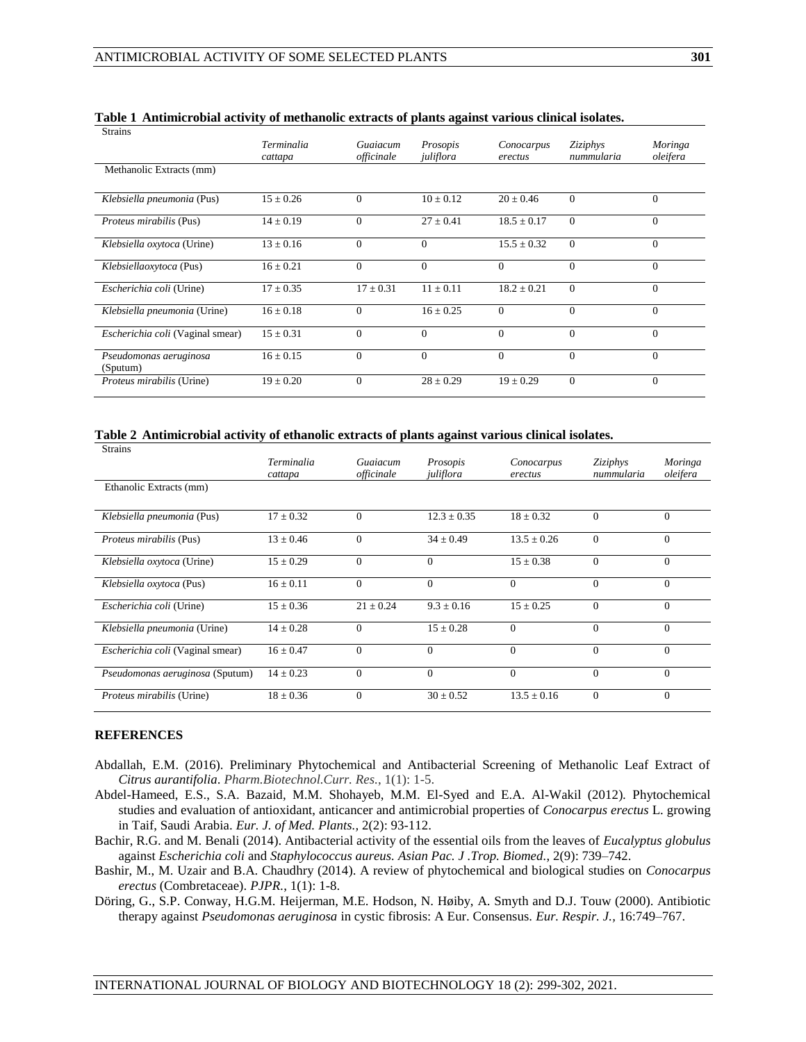| <b>Strains</b>                     |                              |                        |                       |                       |                        |                     |
|------------------------------------|------------------------------|------------------------|-----------------------|-----------------------|------------------------|---------------------|
|                                    | <b>Terminalia</b><br>cattapa | Guaiacum<br>officinale | Prosopis<br>juliflora | Conocarpus<br>erectus | Ziziphys<br>nummularia | Moringa<br>oleifera |
| Methanolic Extracts (mm)           |                              |                        |                       |                       |                        |                     |
| Klebsiella pneumonia (Pus)         | $15 \pm 0.26$                | $\Omega$               | $10 \pm 0.12$         | $20 \pm 0.46$         | $\Omega$               | $\Omega$            |
| Proteus mirabilis (Pus)            | $14 \pm 0.19$                | $\Omega$               | $27 \pm 0.41$         | $18.5 \pm 0.17$       | $\Omega$               | $\Omega$            |
| Klebsiella oxytoca (Urine)         | $13 \pm 0.16$                | $\Omega$               | $\Omega$              | $15.5 \pm 0.32$       | $\Omega$               | $\Omega$            |
| Klebsiellaoxytoca (Pus)            | $16 \pm 0.21$                | $\theta$               | $\Omega$              | $\Omega$              | $\Omega$               | $\Omega$            |
| Escherichia coli (Urine)           | $17 \pm 0.35$                | $17 + 0.31$            | $11 + 0.11$           | $18.2 + 0.21$         | $\Omega$               | $\Omega$            |
| Klebsiella pneumonia (Urine)       | $16 \pm 0.18$                | $\Omega$               | $16 + 0.25$           | $\Omega$              | $\Omega$               | $\Omega$            |
| Escherichia coli (Vaginal smear)   | $15 \pm 0.31$                | $\theta$               | $\theta$              | $\Omega$              | $\theta$               | $\Omega$            |
| Pseudomonas aeruginosa<br>(Sputum) | $16 \pm 0.15$                | $\overline{0}$         | $\overline{0}$        | $\overline{0}$        | $\overline{0}$         | $\Omega$            |
| Proteus mirabilis (Urine)          | $19 \pm 0.20$                | $\overline{0}$         | $28 \pm 0.29$         | $19 \pm 0.29$         | $\Omega$               | $\Omega$            |

| Table 1 Antimicrobial activity of methanolic extracts of plants against various clinical isolates. |  |
|----------------------------------------------------------------------------------------------------|--|
|----------------------------------------------------------------------------------------------------|--|

**Table 2 Antimicrobial activity of ethanolic extracts of plants against various clinical isolates.**

| <b>Strains</b>                   |                              |                        |                       |                       |                               |                     |
|----------------------------------|------------------------------|------------------------|-----------------------|-----------------------|-------------------------------|---------------------|
|                                  | <b>Terminalia</b><br>cattapa | Guaiacum<br>officinale | Prosopis<br>juliflora | Conocarpus<br>erectus | <i>Ziziphys</i><br>nummularia | Moringa<br>oleifera |
| Ethanolic Extracts (mm)          |                              |                        |                       |                       |                               |                     |
| Klebsiella pneumonia (Pus)       | $17 + 0.32$                  | $\Omega$               | $12.3 \pm 0.35$       | $18 + 0.32$           | $\Omega$                      | $\Omega$            |
| <i>Proteus mirabilis</i> (Pus)   | $13 + 0.46$                  | $\Omega$               | $34 + 0.49$           | $13.5 + 0.26$         | $\Omega$                      | $\Omega$            |
| Klebsiella oxytoca (Urine)       | $15 \pm 0.29$                | $\Omega$               | $\Omega$              | $15 \pm 0.38$         | $\Omega$                      | $\Omega$            |
| Klebsiella oxytoca (Pus)         | $16 \pm 0.11$                | $\overline{0}$         | $\Omega$              | $\theta$              | $\theta$                      | $\Omega$            |
| <i>Escherichia coli</i> (Urine)  | $15 \pm 0.36$                | $21 \pm 0.24$          | $9.3 \pm 0.16$        | $15 + 0.25$           | $\Omega$                      | $\Omega$            |
| Klebsiella pneumonia (Urine)     | $14 \pm 0.28$                | $\Omega$               | $15 \pm 0.28$         | $\Omega$              | $\Omega$                      | $\Omega$            |
| Escherichia coli (Vaginal smear) | $16 + 0.47$                  | $\Omega$               | $\Omega$              | $\Omega$              | $\Omega$                      | $\Omega$            |
| Pseudomonas aeruginosa (Sputum)  | $14 \pm 0.23$                | $\Omega$               | $\Omega$              | $\Omega$              | $\Omega$                      | $\Omega$            |
| <i>Proteus mirabilis</i> (Urine) | $18 \pm 0.36$                | $\overline{0}$         | $30 \pm 0.52$         | $13.5 \pm 0.16$       | $\Omega$                      | $\Omega$            |

#### **REFERENCES**

- Abdallah, E.M. (2016). Preliminary Phytochemical and Antibacterial Screening of Methanolic Leaf Extract of *Citrus aurantifolia*. *Pharm.Biotechnol.Curr. Res.*, 1(1): 1-5.
- Abdel-Hameed, E.S., S.A. Bazaid, M.M. Shohayeb, M.M. El-Syed and E.A. Al-Wakil (2012)*.* Phytochemical studies and evaluation of antioxidant, anticancer and antimicrobial properties of *Conocarpus erectus* L. growing in Taif, Saudi Arabia. *Eur. J. of Med. Plants.,* 2(2): 93-112.
- [Bachir, R.G. and M. Benali](https://www.ncbi.nlm.nih.gov/pubmed/?term=Bachir%20RG%5BAuthor%5D&cauthor=true&cauthor_uid=23570005) (2014). Antibacterial activity of the essential oils from the leaves of *Eucalyptus globulus* against *Escherichia coli* and *Staphylococcus aureus. [Asian Pac. J .Trop. Biomed.](file:///C:/Users/library/Desktop/Antibacterial%20activity%20of%20the%20essential%20oils%20from%20the%20leaves%20of%20Eucalyptus%20globulus%20against%20Escherichia%20coli%20and%20Staphylococcus%20aureus.htm)*, 2(9): 739–742.
- Bashir, M., M. Uzair and B.A. Chaudhry (2014). A review of phytochemical and biological studies on *Conocarpus erectus* (Combretaceae). *PJPR.*, 1(1): 1-8.
- Döring, G., S.P. Conway, H.G.M. Heijerman, M.E. Hodson, N. Høiby, A. Smyth and D.J. Touw (2000). Antibiotic therapy against *Pseudomonas aeruginosa* in cystic fibrosis: A Eur. Consensus. *Eur. Respir. J.,* 16:749–767.